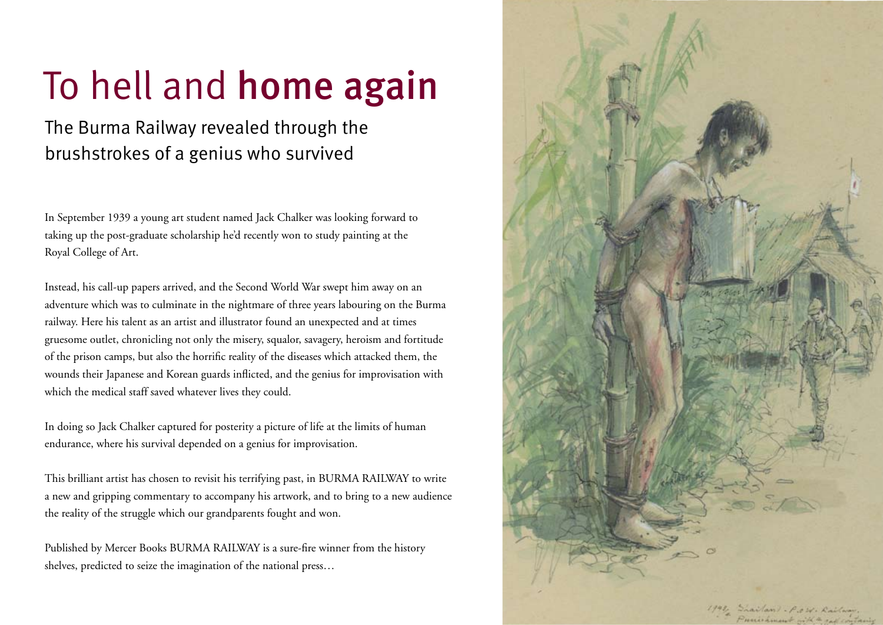# To hell and home again

### The Burma Railway revealed through the brushstrokes of a genius who survived

In September 1939 a young art student named Jack Chalker was looking forward to taking up the post-graduate scholarship he'd recently won to study painting at the Royal College of Art.

Instead, his call-up papers arrived, and the Second World War swept him away on an adventure which was to culminate in the nightmare of three years labouring on the Burma railway. Here his talent as an artist and illustrator found an unexpected and at times gruesome outlet, chronicling not only the misery, squalor, savagery, heroism and fortitude of the prison camps, but also the horrific reality of the diseases which attacked them, the wounds their Japanese and Korean guards inflicted, and the genius for improvisation with which the medical staff saved whatever lives they could.

In doing so Jack Chalker captured for posterity a picture of life at the limits of human endurance, where his survival depended on a genius for improvisation.

This brilliant artist has chosen to revisit his terrifying past, in BURMA RAILWAY to write a new and gripping commentary to accompany his artwork, and to bring to a new audience the reality of the struggle which our grandparents fought and won.

Published by Mercer Books BURMA RAILWAY is a sure-fire winner from the history shelves, predicted to seize the imagination of the national press…

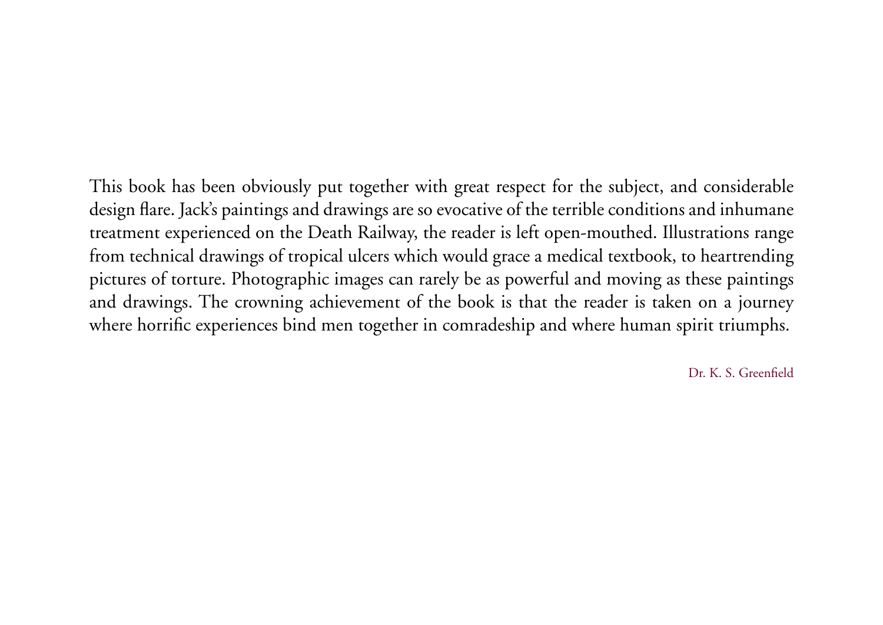This book has been obviously put together with great respect for the subject, and considerable design flare. Jack's paintings and drawings are so evocative of the terrible conditions and inhumane treatment experienced on the Death Railway, the reader is left open-mouthed. Illustrations range from technical drawings of tropical ulcers which would grace a medical textbook, to heartrending pictures of torture. Photographic images can rarely be as powerful and moving as these paintings and drawings. The crowning achievement of the book is that the reader is taken on a journey where horrific experiences bind men together in comradeship and where human spirit triumphs.

Dr. K. S. Greenfield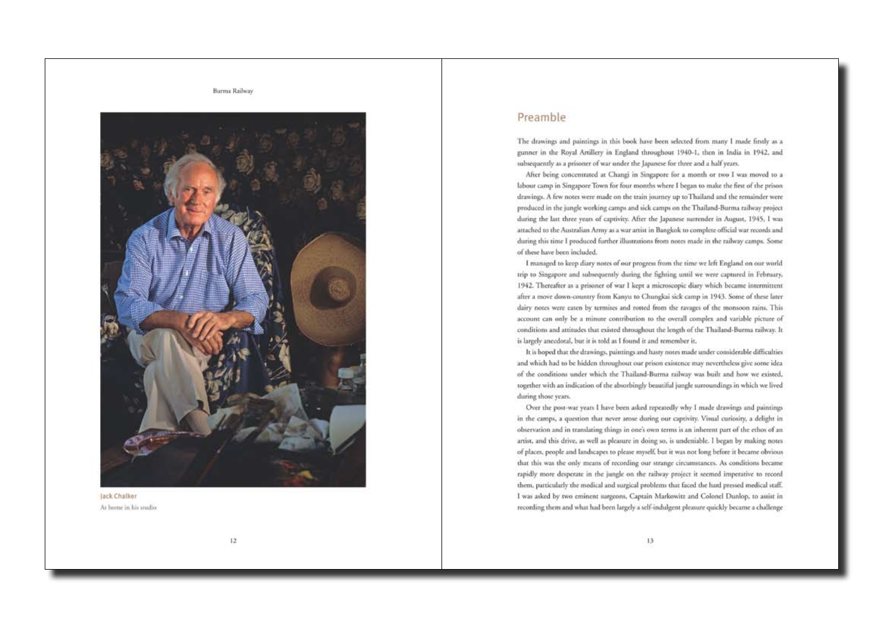

 $12$ 

Burma Railway

lack Chalker At home in his studio

#### Preamble

The drawings and paintings in this book have been selected from many I made firstly as a gunner in the Royal Artillery in England throughout 1940-1, then in India in 1942, and subsequently as a prisoner of war under the Japanese for three and a half years.

After being concentrated at Changi in Singapore for a month or two I was moved to a labour camp in Singapore Town for four months where I began to make the first of the prison drawings. A few notes were made on the train journey up to Thailand and the remainder were produced in the jungle working camps and sick camps on the Thailand-Burma railway projectduring the last three years of captivity. After the Japanese surrender in August, 1945, I was attached to the Australian Army as a war artist in Bangkok to complete official war records and during this time I produced further illustrations from notes made in the railway camps. Some of these have been included.

I managed to keep diary notes of our progress from the time we left England on our world trip to Singapore and subsequently during the fighting until we were captured in February. 1942. Thereafter as a prisoner of war I kept a microscopic diary which became intermittent after a move down-country from Kanyu to Chungkai sick camp in 1943. Some of these later dairy notes were eaten by termites and rotted from the ravages of the monsoon rains. This account can only be a minute contribution to the overall complex and variable picture of conditions and attitudes that existed throughout the length of the Thailand-Burma railway. It is largely anecdoral, but it is told as I found it and remember it.

It is hoped that the drawings, paintings and hasty notes made under considerable difficulties and which had to be hidden throughout our prison existence may nevertheless give some idea of the conditions under which the Thailand-Burma railway was built and how we existed, together with an indication of the absorbingly beautiful jungle surroundings in which we lived during those years.

Over the post-war years I have been asked repeatedly why I made drawings and paintings in the camps, a question that never arose during our captivity. Visual curiosity, a delight in observation and in translating things in one's own terms is an inherent part of the ethos of an artist, and this drive, as well as pleasure in doing so, is undeniable. I began by making notes of places, people and landscapes to please myself, but it was not long before it became obvious that this was the only means of recording our strange circumstances. As conditions became rapidly more desperate in the jungle on the railway project it seemed imperative to record them, particularly the medical and surgical problems that faced the hard pressed medical staff. I was asked by two eminent surgeons, Captain Markowitz and Colonel Dunlop, to assist in recording them and what had been largely a self-indulgent pleasure quickly became a challenge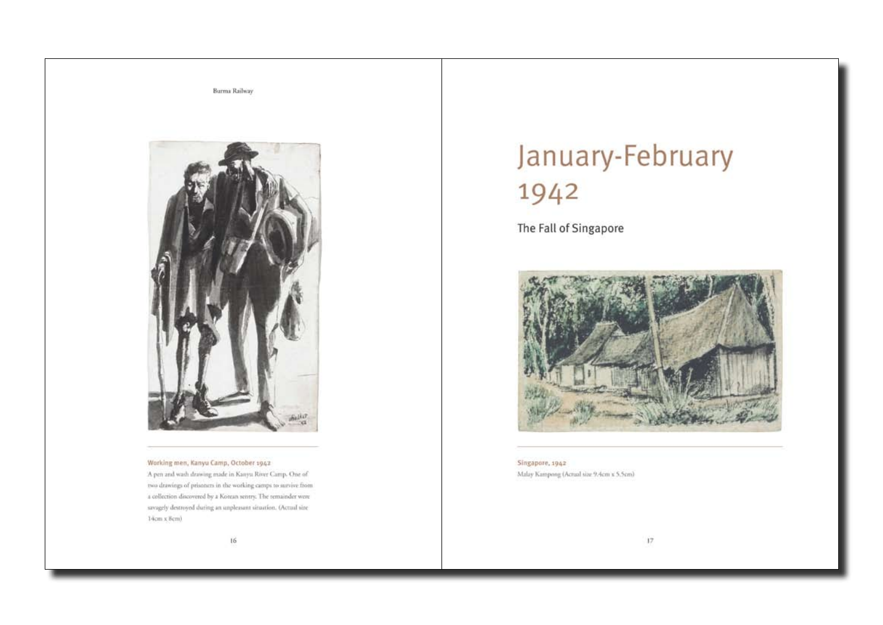

Burma Railway

#### Working men, Kanyu Camp, October 1942

A pen and wash drawing made in Kanyu River Camp. One of two drawings of prisoners in the working camps to survive from a collection discovered by a Korean sentry. The remainder were savagely destroyed during an unpleasant situation. (Actual size 14cm x 8cm)

## January-February 1942

The Fall of Singapore



Singapore, 1942 Malay Kampong (Actual size 9.4cm x 5.5cm)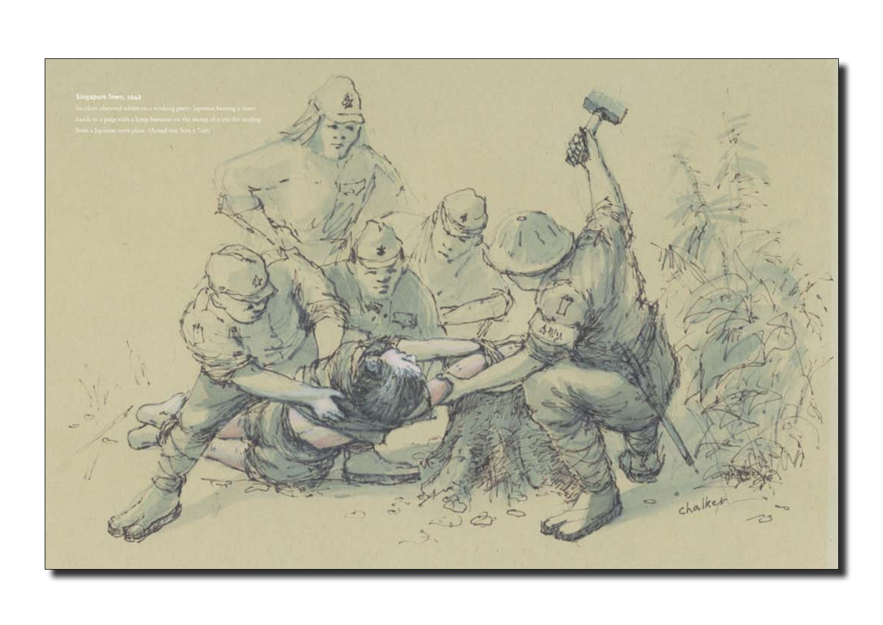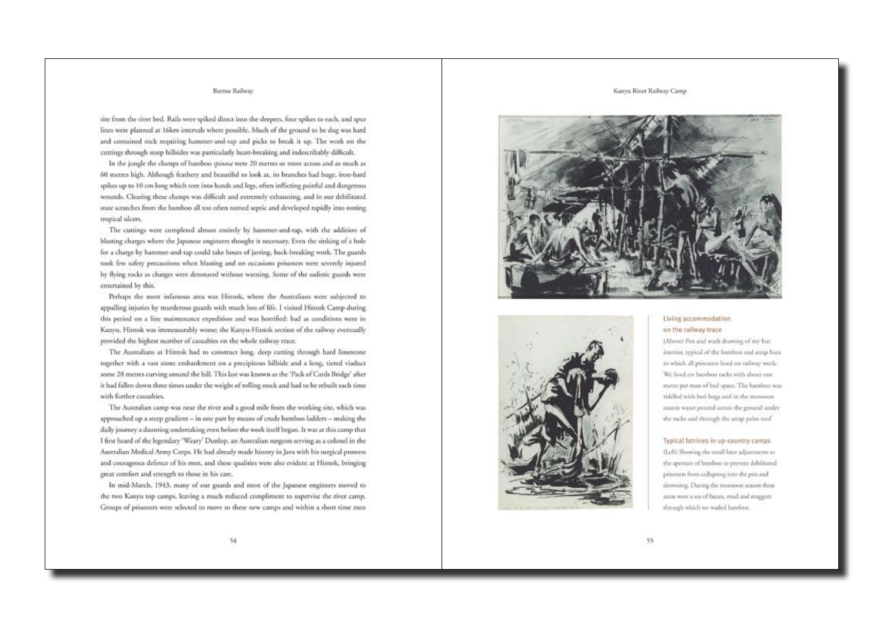#### Burma Railway

site from the river bed. Rails were spiked direct into the sleepers, four spikes to each, and spur lines were planned at 16km intervals where possible. Much of the ground to be dug was hard and contained rock requiring hammer-and-tap and picks to break it up. The work on the cuttings through steep hillsides was particularly heart-breaking and indescribably difficult.

In the jungle the clumps of bamboo spinosa were 20 metres or more across and as much as 60 metres high. Although feathery and beautiful to look at, its branches had huge, iron-hard spikes up to 10 cm long which tore into hands and legs, often inflicting painful and dangerous wounds. Clearing these clumps was difficult and extremely exhausting, and in our debilitated state scratches from the bamboo all too often turned septic and developed rapidly into rotting tropical ulcers.

The cuttings were completed almost entirely by hammer-and-tap, with the addition of blasting charges where the Japanese engineers thought it necessary. Even the sinking of a hole for a charge by hammer-and-tap could take hours of jarring, back-breaking work. The guards took few safety precautions when blasting and on occasions prisoners were severely injured by flying rocks as charges were detonated without warning. Some of the sadistic guards were entertained by this.

Perhaps the most infamous area was Hintok, where the Australians were subjected to appalling injuries by murderous guards with much loss of life. I visited Hintok Camp during this period on a line maintenance expedition and was horrified; bad as conditions were in Kanyu, Hintok was immeasurably worse; the Kanyu-Hintok section of the railway eventually provided the highest number of casualties on the whole railway trace.

The Australians at Hintok had to construct long, deep cutting through hard limestone together with a vast stone embankment on a precipitous hillside and a long, tiered viaduct some 28 metres curving around the hill. This last was known as the 'Pack of Cards Bridge' after it had fallen down three times under the weight of rolling stock and had to be rebuilt each time with further casualties.

The Australian camp was near the river and a good mile from the working site, which was approached up a steep gradient - in one part by means of crude bamboo ladders - making the daily journey a daunting undertaking even before the work itself began. It was at this camp that I first heard of the legendary 'Weary' Dunlop, an Australian surgeon serving as a colonel in the Australian Medical Army Corps. He had already made history in Java with his surgical prowess and courageous defence of his men, and these qualities were also evident at Hintok, bringing great comfort and strength to those in his care.

In mid-March, 1943, many of our guards and most of the Japanese engineers moved to the two Kanyu top camps, leaving a much reduced compliment to supervise the river camp. Groups of prisoners were selected to move to these new camps and within a short time men

#### Kanyu River Railway Camp





#### Living accommodation on the railway trace

(Above) Pen and wash drawing of my hut interior, typical of the bamboo and attap humin which all prisoners lived on railway work. We fived on bamboo racks with about one metre per man of bed space. The bamboo was riddled with hed-bugs and in the monsoon. season water poured across the ground under the racks and through the artap palm roof

#### Typical latrines in up-country camps

(Left) Showing the small later adjustments to the aperture of bamboo to prevent debilitated prisoners from collapsing into the pits and drowning. During the monsoon season these areas were a sea of faeces, mud and maggota through which we waded barefoot.

55